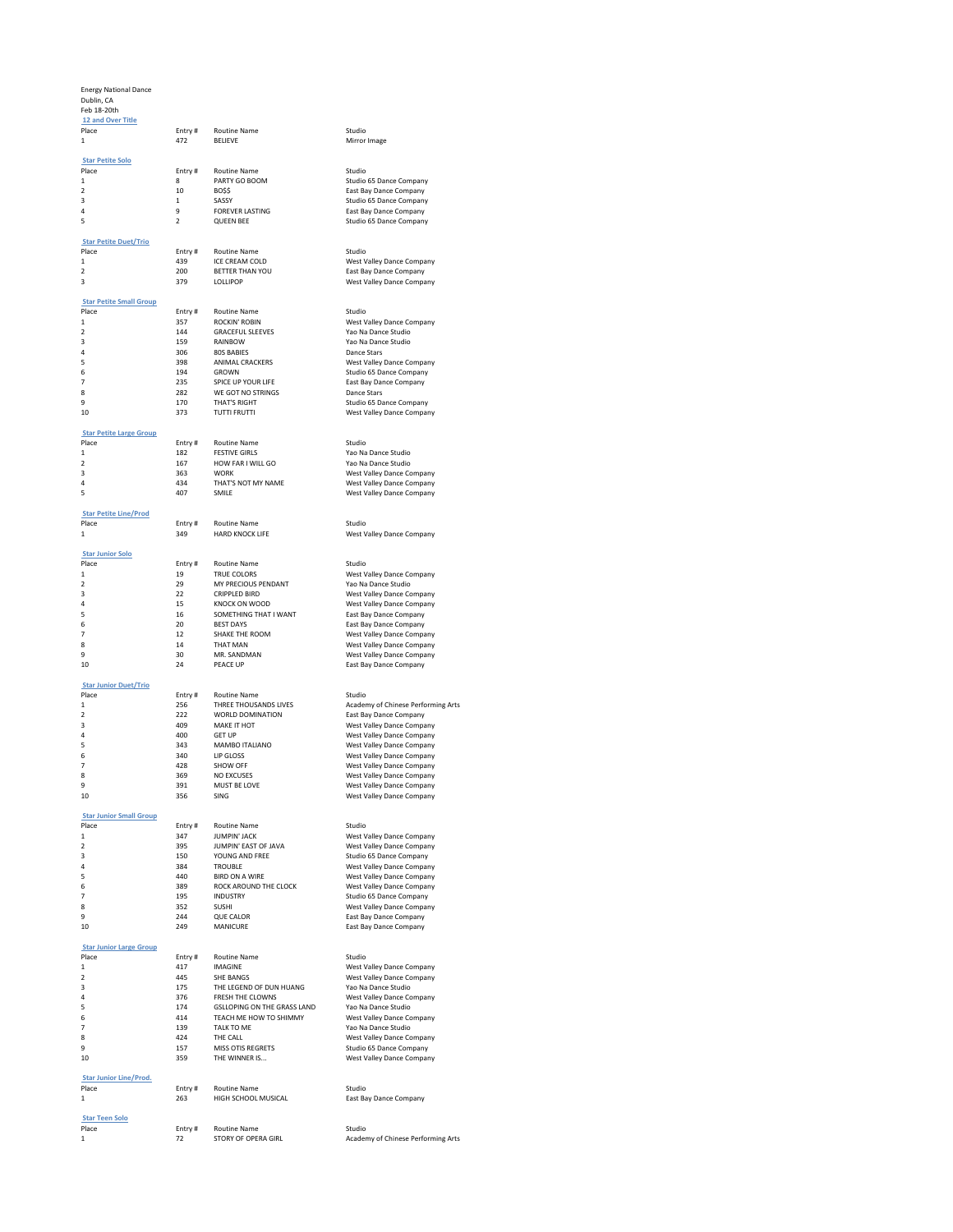### Energy National Dance

Dublin, CA Feb 18-20th  **12 and Over Title Entry # Routine Name Studio** 1 472 BELIEVE Mirror Image  **Star Petite Solo** Place Entry # Routine Name<br>1 8 PARTY GO BOOM 2 10 BO\$\$ East Bay Dance Company<br>3 1 SASSY Studio 65 Dance Company 3 1 SASSY Studio 65 Dance Company<br>4 9 FOREVER LASTING East Bay Dance Company 4 9 FOREVER LASTING East Bay Dance Company<br>5 2 QUEEN BEE Studio 65 Dance Company  **Star Petite Duet/Trio** Place **Entry # Routine Name** Studio Studio Studio Entry # Routine Name Studio Studio Studio Studio Studio Studio A<br>The Studio Studio And And Studio Studio Studio Studio Studio Studio Studio Studio Studio Studio Studio Stud 1 439 ICE CREAM COLD West Valley Dance Company 2 200 BETTER THAN YOU East Bay Dance Company<br>200 BETTER THAN YOU East Bay Dance Company<br>379 LOLLIPOP West Valley Dance Company  **Star Petite Small Group** Place Entry # Routine Name<br>1 357 ROCKIN' ROBIN Place Entry # Routine Name Studio<br>
1 357 ROCKIN' ROBIN West Valley Dance Company<br>
2 144 GRACEFUL SLEEVES Yao Na Dance Studio 3 159 RAINBOW 120 Na Dance Studio<br>1906 805 BABIES 200 Dance Stars 4 306 80S BABIES Dance Stars 5 398 ANIMAL CRACKERS West Valley Dance Company 6 194 GROWN Studio 65 Dance Company<br>7 235 SPICE UP YOUR LIFE East Bay Dance Company 8 282 WE GOT NO STRINGS Dance Stars<br>9 2170 THAT'S RIGHT SAND Studio 65 Dan 9 170 THAT'S RIGHT STUDIO 2011 CHE COMPANY<br>170 THAT'S RIGHT STUDIO 373 TUTTI FRUTTI West Valley Dance Company  **Star Petite Large Group Entry # Routine Name Studio** Studio 1 182 FESTIVE GIRLS 7 Yao Na Dance Studio<br>182 - HOW FAR I WILL GO 7 Yao Na Dance Studio 3 363 WORK West Valley Dance Company<br>363 WORK West Valley Dance Company<br>5 363 THAT'S NOT MY NAME West Valley Dance Company 4 434 THAT'S NOT MY NAME West Valley Dance Company 5 407 SMILE West Valley Dance Company  **[Star Petite Line/Prod](/dsv2/admin/score_list.php?events_reportsID=20)** Place Entry # Routine Name Studio<br>1 349 HARD KNOCK LIFE South A West V  **Star Junior Solo** Place **Entry # Routine Name** Studio Studio Studio Entry # Routine Name Studio Studio Studio Studio Studio Studio Studio Studio Studio Studio Studio Studio Studio Studio Studio Studio Studio Studio Studio Studio Studio Stud 19 TRUE COLORS<br>
29 MY PRECIOUS PENDANT Yao Na Dance Studio 2 2<br>
29 MY PRECIOUS PENDANT<br>
22 CRIPPLED BIRD<br>
4 15 KNOCK ON WOOD 3 22 CRIPPLED BIRD West Valley Dance Company 4 15 KNOCK ON WOOD West Valley Dance Company 5 16 SOMETHING THAT I WANT Last Bay Dance Company<br>6 16 20 BEST DAYS East Bay Dance Company 6 20 BEST DAYS East Bay Dance Company 12 12 SHAKE THE ROOM 12 West Valley Dance Company<br>14 THAT MAN 12 West Valley Dance Company<br>13 MR. SANDMAN 12 West Valley Dance Company 14 THAT MAN West Valley Dance Company<br>80 MR. SANDMAN West Valley Dance Company 9 30 MR. SANDMAN West Valley Dance Company<br>10 24 PEACE UP COMPAN East Bay Dance Company  **Star Junior Duet/Trio** Place Entry #Routine Name Studio<br>1 1 256 THREE THOUSANDS LIVES Academy<br>2 22 WORLD DOMINATION East Bas 1 256 THREE THOUSANDS LIVES Academy of Chinese Performing Arts 2 222 WORLD DOMINATION East Bay Dance Company 3<br>409 MAKE IT HOT WEST WEST VALLEY DANCE Company<br>5 400 GET UP MAMBO ITALIANO WEST Valley Dance Company 4 400 GET UP<br>400 GET UP West Valley Dance Company<br>5 343 MAMBO ITALIANO West Valley Dance Company 343 MAMBO ITALIANO West Valley Dance Company<br>340 LIP GLOSS West Valley Dance Company<br>428 SHOW OFF West Valley Dance Company 6 340 LIP GLOSS West Valley Dance Company 7 428 SHOW OFF West Valley Dance Company 9 391 MUST BE LOVE West Valley Dance Company<br>10 356 SING SING West Valley Dance Company  **Star Junior Small Group** Place Entry # Routine Name Studio 1 1 347 JUMPIN' JACK<br>
1995 JUMPIN' JACK West Valley Dance Company<br>
150 YOUNG AND FREE Studio 65 Dance Company 2 395 JUMPIN' EAST OF JAVA West Valley Dance Company<br>3 3150 YOUNG AND FREE STATES Studio 65 Dance Company 150 YOUNG AND FREE Studio 65 Dance Company<br>384 TROUBLE STUDIO West Valley Dance Company 5 440 BIRD ON A WIRE West Valley Dance Company 7 195 INDUSTRY Studio 65 Dance Company<br>State State Studio 1957 Studio 1968 Meet Valley Dance Company 352 SUSHI West Valley Dance Company<br>244 QUE CALOR East Bay Dance Company 9 244 QUE CALOR East Bay Dance Company<br>10 249 MANICURE East Bay Dance Company  **Star Junior Large Group** Place Entry # Routine Name<br>1 417 IMAGINE Entry # Routine Name<br>17 IMAGINE West Valley Dance Company<br>145 SHE BANGS West Valley Dance Company 3 175 THE LEGEND OF DUN HUANG Yao Na Dance Studio<br>4 376 FRESH THE CLOWNS West Valley Dance Company 4 576 FRESH THE CLOWNS West Valley Dance Company<br>5 174 GSLLOPING ON THE GRASS LAND Yao Na Dance Studio 6 414 TEACH ME HOW TO SHIMMY West Valley Dance Company 7 139 TALK TO ME Yao Na Dance Studio 8 124 THE CALL 1999 1999 12:38 124 THE CALL West Valley Dance Company<br>157 MISS OTIS REGRETS 15 15 16 Studio 65 Dance Company 10 359 THE WINNER IS... West Valley Dance Company  **Star Junior Line/Prod.** Entry # Routine Name **Studio** 1 263 HIGH SCHOOL MUSICAL East Bay Dance Company

## Entry # Routine Name <br>72 STORY OF OPERA GIRL Macader

 **Star Teen Solo**

Studio<br>Studio 65 Dance Company Studio 65 Dance Company West Valley Dance Company 2 144 GRACEFUL SLEEVES Yao Na Dance Studio West Valley Dance Company 2 167 HOW FAR I WILL GO Yao Na Dance Studio<br>2 167 West Valley Dance Co West Valley Dance Company East Bay Dance Company West Valley Dance Company West Valley Dance Company

West Valley Dance Company ROCK AROUND THE CLOCK West Valley Dance Company<br>INDUSTRY Studio 65 Dance Company East Bay Dance Company

2 445 Yangi Dance Company

1 72 STORY OF OPERA GIRL Academy of Chinese Performing Arts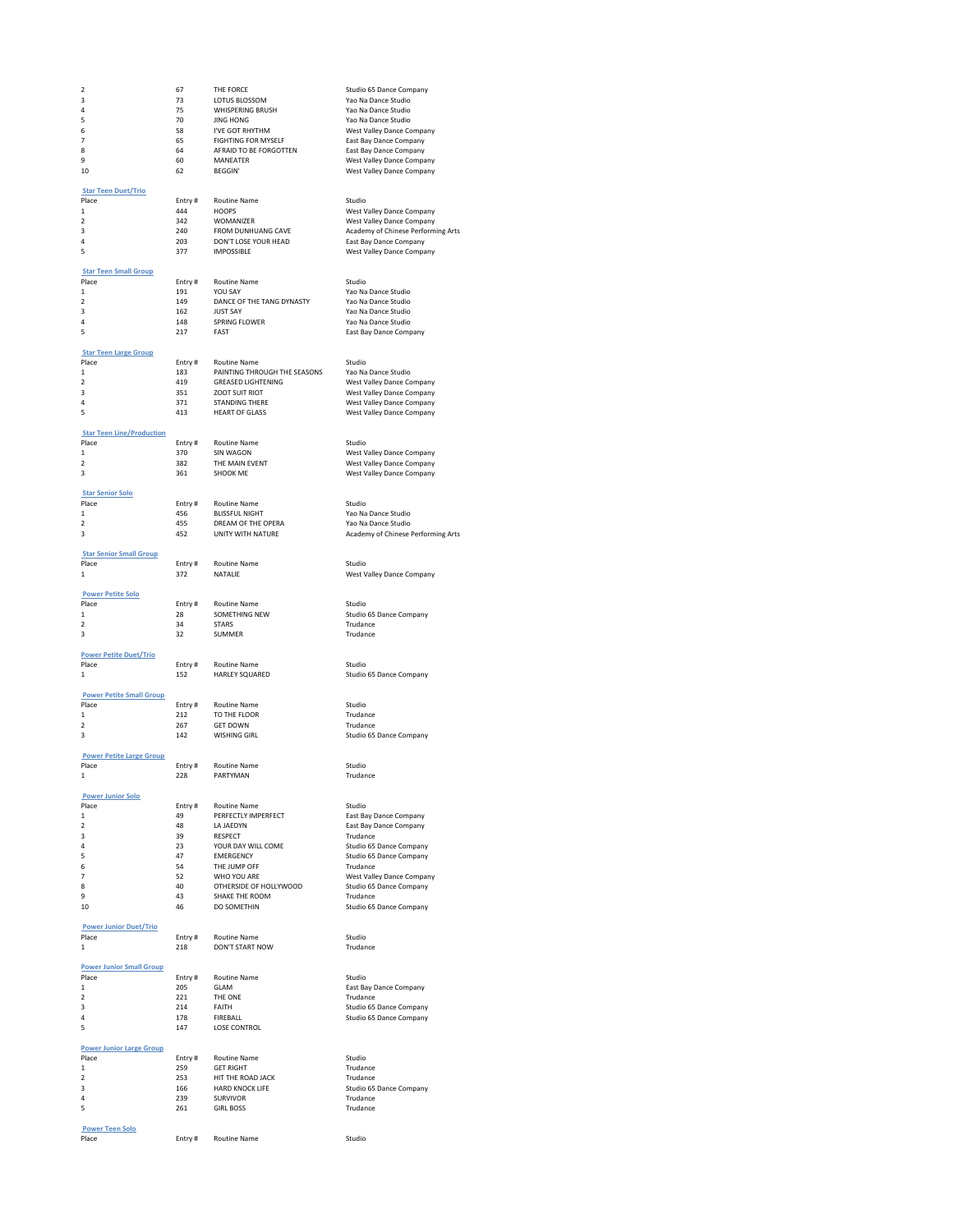| 2                                        | 67            | THE FORCE                           | Studio 65 Dance Company                                         |
|------------------------------------------|---------------|-------------------------------------|-----------------------------------------------------------------|
| з                                        | 73            | LOTUS BLOSSOM                       | Yao Na Dance Studio                                             |
| 4                                        | 75            | WHISPERING BRUSH                    | Yao Na Dance Studio                                             |
| 5                                        | 70            | <b>JING HONG</b>                    | Yao Na Dance Studio                                             |
| 6                                        | 58            | I'VE GOT RHYTHM                     | West Valley Dance Company                                       |
| 7                                        | 65            | <b>FIGHTING FOR MYSELF</b>          | East Bay Dance Company                                          |
| $\boldsymbol{8}$                         | 64            | AFRAID TO BE FORGOTTEN              | East Bay Dance Company                                          |
| 9                                        | 60            | <b>MANEATER</b>                     | West Valley Dance Company                                       |
| 10                                       | 62            | <b>BEGGIN'</b>                      | West Valley Dance Company                                       |
|                                          |               |                                     |                                                                 |
| <b>Star Teen Duet/Trio</b><br>Place      |               | <b>Routine Name</b>                 | Studio                                                          |
| $\mathbf 1$                              | Entry#<br>444 | <b>HOOPS</b>                        | West Valley Dance Company                                       |
| $\overline{\mathbf{2}}$                  | 342           | WOMANIZER                           |                                                                 |
| 3                                        | 240           | FROM DUNHUANG CAVE                  | West Valley Dance Company<br>Academy of Chinese Performing Arts |
| 4                                        | 203           | DON'T LOSE YOUR HEAD                | East Bay Dance Company                                          |
| 5                                        | 377           | <b>IMPOSSIBLE</b>                   | West Valley Dance Company                                       |
|                                          |               |                                     |                                                                 |
| <b>Star Teen Small Group</b>             |               |                                     |                                                                 |
| Place                                    | Entry#        | Routine Name                        | Studio                                                          |
| 1                                        | 191           | YOU SAY                             | Yao Na Dance Studio                                             |
| $\overline{\phantom{a}}$                 | 149           | DANCE OF THE TANG DYNASTY           | Yao Na Dance Studio                                             |
| 3                                        | 162           | <b>ILIST SAY</b>                    | Yao Na Dance Studio                                             |
| 4                                        | 148           | SPRING FLOWER                       | Yao Na Dance Studio                                             |
| 5                                        | 217           | FAST                                | East Bay Dance Company                                          |
|                                          |               |                                     |                                                                 |
| <b>Star Teen Large Group</b>             |               |                                     |                                                                 |
| Place                                    | Entry#        | <b>Routine Name</b>                 | Studio                                                          |
| $\mathbf 1$                              | 183           | PAINTING THROUGH THE SEASONS        | Yao Na Dance Studio                                             |
| $\mathcal{P}$                            | 419           | <b>GREASED LIGHTENING</b>           | West Valley Dance Company                                       |
| 3<br>4                                   | 351<br>371    | ZOOT SUIT RIOT                      | West Valley Dance Company                                       |
| 5                                        | 413           | <b>STANDING THERE</b>               | West Valley Dance Company                                       |
|                                          |               | <b>HEART OF GLASS</b>               | West Valley Dance Company                                       |
| <b>Star Teen Line/Production</b>         |               |                                     |                                                                 |
| Place                                    | Entry#        | Routine Name                        | Studio                                                          |
| $\mathbf 1$                              | 370           | <b>SIN WAGON</b>                    | West Valley Dance Company                                       |
| $\overline{\phantom{a}}$                 | 382           | THE MAIN EVENT                      | West Valley Dance Company                                       |
| 3                                        | 361           | SHOOK ME                            | West Valley Dance Company                                       |
|                                          |               |                                     |                                                                 |
| <b>Star Senior Solo</b>                  |               |                                     |                                                                 |
| Place                                    | Entry#        | Routine Name                        | Studio                                                          |
| $\mathbf 1$                              | 456           | <b>BLISSFUL NIGHT</b>               | Yao Na Dance Studio                                             |
| $\overline{\phantom{a}}$                 | 455           | DREAM OF THE OPERA                  | Yao Na Dance Studio                                             |
| 3                                        | 452           | UNITY WITH NATURE                   | Academy of Chinese Performing Arts                              |
|                                          |               |                                     |                                                                 |
| <b>Star Senior Small Group</b>           |               |                                     |                                                                 |
| Place                                    | Entry#        | <b>Routine Name</b>                 | Studio                                                          |
| 1                                        | 372           | NATALIE                             | West Valley Dance Company                                       |
|                                          |               |                                     |                                                                 |
| <b>Power Petite Solo</b>                 |               |                                     |                                                                 |
| Place<br>1                               | Entry#<br>28  | Routine Name<br>SOMETHING NEW       | Studio                                                          |
| $\mathcal{P}$                            | 34            | <b>STARS</b>                        | Studio 65 Dance Company<br>Trudance                             |
|                                          |               |                                     |                                                                 |
|                                          |               |                                     |                                                                 |
| 3                                        | 32            | <b>SUMMER</b>                       | Trudance                                                        |
|                                          |               |                                     |                                                                 |
| <b>Power Petite Duet/Trio</b>            |               |                                     |                                                                 |
| Place<br>1                               | Entry#        | Routine Name                        | Studio                                                          |
|                                          | 152           | HARLEY SQUARED                      | Studio 65 Dance Company                                         |
| <b>Power Petite Small Group</b>          |               |                                     |                                                                 |
| Place                                    | Entry#        | <b>Routine Name</b>                 | Studio                                                          |
| $\mathbf 1$                              | 212           | TO THE FLOOR                        | Trudance                                                        |
| $\overline{\mathbf{2}}$                  | 267           | <b>GET DOWN</b>                     | Trudance                                                        |
| 3                                        | 142           | <b>WISHING GIRL</b>                 | Studio 65 Dance Company                                         |
|                                          |               |                                     |                                                                 |
| <b>Power Petite Large Group</b>          |               |                                     |                                                                 |
| Place                                    | Entry#        | Routine Name                        | Studio                                                          |
| $\mathbf{1}$                             | 228           | PARTYMAN                            | Trudance                                                        |
|                                          |               |                                     |                                                                 |
| <b>Power Junior Solo</b>                 |               |                                     | Studio                                                          |
| Place<br>$\mathbf 1$                     | Entry#<br>49  | Routine Name<br>PERFECTLY IMPERFECT | East Bay Dance Company                                          |
| $\overline{\mathbf{2}}$                  | 48            | LA JAEDYN                           | East Bay Dance Company                                          |
| 3                                        | 39            | <b>RESPECT</b>                      | Trudance                                                        |
| 4                                        | 23            | YOUR DAY WILL COME                  | Studio 65 Dance Company                                         |
| 5                                        | 47            | <b>EMERGENCY</b>                    | Studio 65 Dance Company                                         |
| 6                                        | 54            | THE JUMP OFF                        | Trudance                                                        |
| $\overline{7}$                           | 52            | WHO YOU ARE                         | West Valley Dance Company                                       |
| $\boldsymbol{8}$                         | 40            | OTHERSIDE OF HOLLYWOOD              | Studio 65 Dance Company                                         |
| 9                                        | 43            | SHAKE THE ROOM                      | Trudance                                                        |
| 10                                       | 46            | DO SOMETHIN                         | Studio 65 Dance Company                                         |
|                                          |               |                                     |                                                                 |
| <b>Power Junior Duet/Trio</b>            |               |                                     |                                                                 |
| Place<br>1                               | Entry#        | <b>Routine Name</b>                 | Studio                                                          |
|                                          | 218           | DON'T START NOW                     | Trudance                                                        |
|                                          |               |                                     |                                                                 |
| <b>Power Junior Small Group</b><br>Place | Entry#        | Routine Name                        | Studio                                                          |
| $\mathbf 1$                              | 205           | GLAM                                | East Bay Dance Company                                          |
| $\overline{\phantom{a}}$                 | 221           | THE ONE                             | Trudance                                                        |
| 3                                        | 214           | FAITH                               | Studio 65 Dance Company                                         |
| 4                                        | 178           | FIREBALL                            | Studio 65 Dance Company                                         |
| 5                                        | 147           | <b>LOSE CONTROL</b>                 |                                                                 |
|                                          |               |                                     |                                                                 |
| <b>Power Junior Large Group</b>          |               |                                     |                                                                 |
| Place                                    | Entry#        | <b>Routine Name</b>                 | Studio                                                          |
| 1                                        | 259           | <b>GFT RIGHT</b>                    | Trudance                                                        |
| $\overline{\mathbf{2}}$                  | 253           | HIT THE ROAD JACK                   | Trudance                                                        |
| 3                                        | 166           | <b>HARD KNOCK LIFE</b>              | Studio 65 Dance Company                                         |
| 4                                        | 239           | <b>SURVIVOR</b>                     | Trudance                                                        |
| 5                                        | 261           | <b>GIRL BOSS</b>                    | Trudance                                                        |
|                                          |               |                                     |                                                                 |
| <b>Power Teen Solo</b><br>Place          | Entry#        | Routine Name                        | Studio                                                          |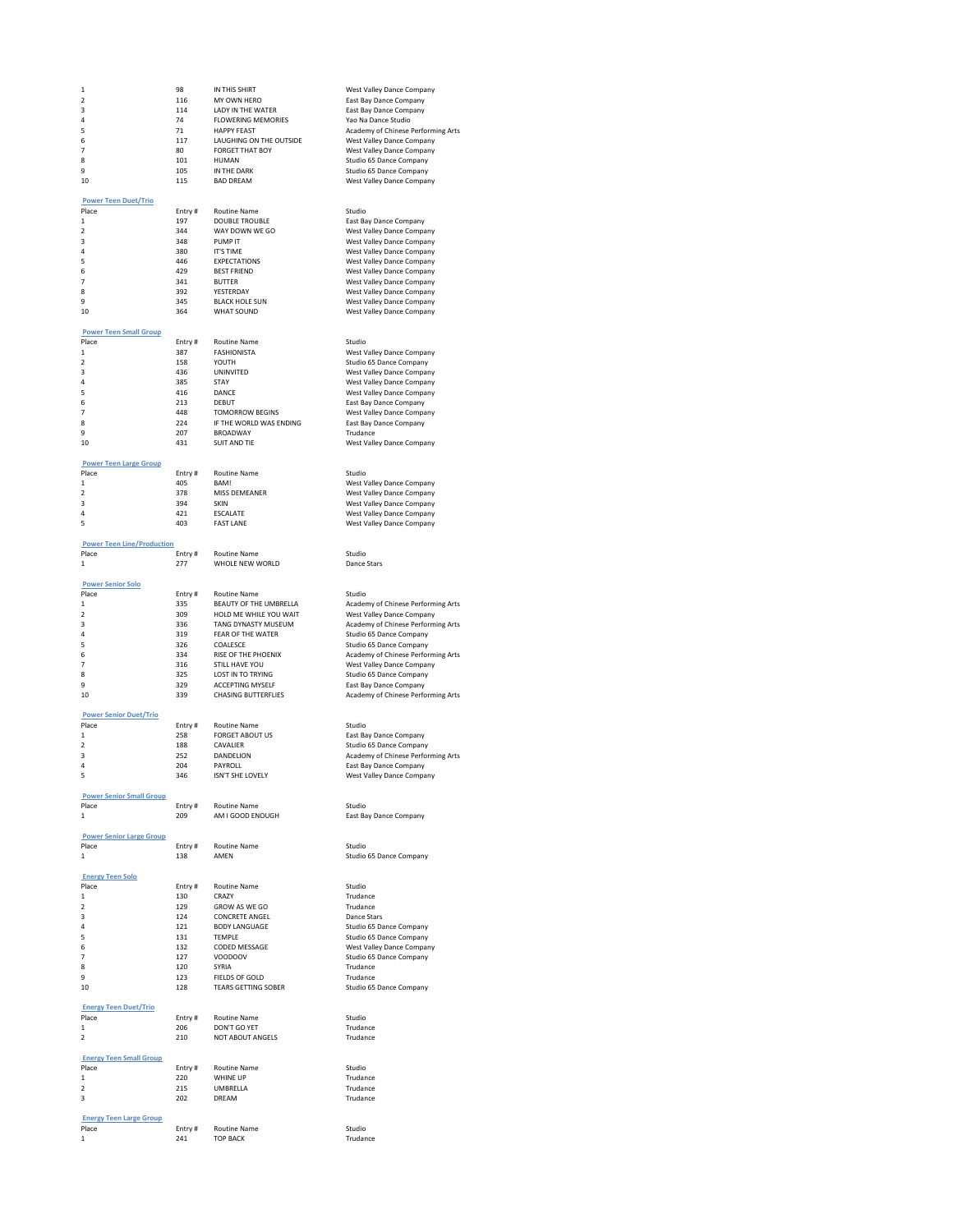| 1                                       | 98            | IN THIS SHIRT                                         | West Valley Dance Company                                    |
|-----------------------------------------|---------------|-------------------------------------------------------|--------------------------------------------------------------|
| 2                                       | 116           | MY OWN HERO                                           | East Bay Dance Company                                       |
| 3                                       | 114           | LADY IN THE WATER                                     | East Bay Dance Company                                       |
| $\overline{a}$                          | 74            | <b>FLOWERING MEMORIES</b>                             | Yao Na Dance Studio                                          |
| 5                                       | 71            | <b>HAPPY FEAST</b>                                    | Academy of Chinese Performing Arts                           |
| 6                                       | 117           | LAUGHING ON THE OUTSIDE                               | West Valley Dance Company                                    |
| $\overline{7}$                          | 80            | <b>FORGET THAT BOY</b>                                | West Valley Dance Company                                    |
| 8<br>9                                  | 101<br>105    | <b>HUMAN</b><br>IN THE DARK                           | Studio 65 Dance Company<br>Studio 65 Dance Company           |
| 10                                      | 115           | <b>BAD DREAM</b>                                      | West Valley Dance Company                                    |
|                                         |               |                                                       |                                                              |
| <b>Power Teen Duet/Trio</b>             |               |                                                       |                                                              |
| Place                                   | Entry#        | <b>Routine Name</b>                                   | Studio                                                       |
| 1                                       | 197           | <b>DOUBLE TROUBLE</b>                                 | East Bay Dance Company                                       |
| 2                                       | 344           | WAY DOWN WE GO                                        | West Valley Dance Company                                    |
| 3                                       | 348           | PUMP IT                                               | West Valley Dance Company                                    |
| 4                                       | 380           | <b>IT'S TIME</b>                                      | West Valley Dance Company                                    |
| 5<br>6                                  | 446<br>429    | <b>EXPECTATIONS</b><br><b>BEST FRIEND</b>             | West Valley Dance Company<br>West Valley Dance Company       |
| $\overline{7}$                          | 341           | <b>BUTTER</b>                                         | West Valley Dance Company                                    |
| 8                                       | 392           | YESTERDAY                                             | West Valley Dance Company                                    |
| 9                                       | 345           | <b>BLACK HOLE SUN</b>                                 | West Valley Dance Company                                    |
| 10                                      | 364           | <b>WHAT SOUND</b>                                     | West Valley Dance Company                                    |
|                                         |               |                                                       |                                                              |
| <b>Power Teen Small Group</b>           |               |                                                       |                                                              |
| Place                                   | Entry#        | <b>Routine Name</b>                                   | Studio                                                       |
| 1<br>$\overline{\mathbf{2}}$            | 387<br>158    | <b>FASHIONISTA</b><br>YOUTH                           | West Valley Dance Company<br>Studio 65 Dance Company         |
| 3                                       | 436           | UNINVITED                                             | West Valley Dance Company                                    |
| 4                                       | 385           | <b>STAY</b>                                           | West Valley Dance Company                                    |
| 5                                       | 416           | DANCE                                                 | West Valley Dance Company                                    |
| 6                                       | 213           | DERLIT                                                | East Bay Dance Company                                       |
| 7                                       | 448           | <b>TOMORROW BEGINS</b>                                | West Valley Dance Company                                    |
| 8                                       | 224           | IF THE WORLD WAS ENDING                               | East Bay Dance Company                                       |
| 9                                       | 207           | <b>BROADWAY</b>                                       | Trudance                                                     |
| 10                                      | 431           | <b>SUIT AND TIE</b>                                   | West Valley Dance Company                                    |
|                                         |               |                                                       |                                                              |
| <b>Power Teen Large Group</b>           |               |                                                       | Studio                                                       |
| Place<br>1                              | Entry#<br>405 | Routine Name<br>BAM!                                  | West Valley Dance Company                                    |
| $\overline{\mathbf{2}}$                 | 378           | MISS DEMEANER                                         | West Valley Dance Company                                    |
| 3                                       | 394           | SKIN                                                  | West Valley Dance Company                                    |
| 4                                       | 421           | <b>ESCALATE</b>                                       | West Valley Dance Company                                    |
| 5                                       | 403           | <b>FAST LANE</b>                                      | West Valley Dance Company                                    |
|                                         |               |                                                       |                                                              |
| <b>Power Teen Line/Production</b>       |               |                                                       |                                                              |
| Place                                   | Entry#        | <b>Routine Name</b>                                   | Studio                                                       |
| 1                                       | 277           | WHOLE NEW WORLD                                       | Dance Stars                                                  |
| <b>Power Senior Solo</b>                |               |                                                       |                                                              |
| Place                                   | Entry#        | <b>Routine Name</b>                                   | Studio                                                       |
| 1                                       | 335           | BEAUTY OF THE UMBRELLA                                | Academy of Chinese Performing Arts                           |
| $\overline{\mathbf{2}}$                 | 309           | HOLD ME WHILE YOU WAIT                                | West Valley Dance Company                                    |
| 3                                       | 336           | TANG DYNASTY MUSEUM                                   | Academy of Chinese Performing Arts                           |
| 4                                       | 319           | FEAR OF THE WATER                                     | Studio 65 Dance Company                                      |
| 5                                       | 326           | COALESCE                                              | Studio 65 Dance Company                                      |
| 6                                       | 334           | <b>RISE OF THE PHOENIX</b>                            | Academy of Chinese Performing Arts                           |
| 7                                       | 316           | STILL HAVE YOU                                        | West Valley Dance Company                                    |
| 8                                       | 325           | LOST IN TO TRYING                                     | Studio 65 Dance Company                                      |
| 9<br>10                                 | 329<br>339    | <b>ACCEPTING MYSELE</b><br><b>CHASING BUTTERFLIES</b> | East Bay Dance Company<br>Academy of Chinese Performing Arts |
|                                         |               |                                                       |                                                              |
| <b>Power Senior Duet/Trio</b>           |               |                                                       |                                                              |
| Place                                   | Entry#        | Routine Name                                          | Studio                                                       |
| $\mathbf{1}$                            | 258           | <b>FORGET ABOUT US</b>                                | East Bay Dance Company                                       |
| $\overline{\mathbf{2}}$                 | 188           | CAVALIER                                              | Studio 65 Dance Company                                      |
| 3                                       | 252           | DANDELION                                             | Academy of Chinese Performing Arts                           |
| 4                                       | 204           | PAYROLL                                               | East Bay Dance Company                                       |
| 5                                       | 346           |                                                       |                                                              |
|                                         |               | ISN'T SHE LOVELY                                      | West Valley Dance Company                                    |
| <b>Power Senior Small Group</b>         |               |                                                       |                                                              |
| Place                                   | Entry#        | <b>Routine Name</b>                                   | Studio                                                       |
| 1                                       | 209           | AM I GOOD ENOUGH                                      | East Bay Dance Company                                       |
|                                         |               |                                                       |                                                              |
| <b>Power Senior Large Group</b>         |               |                                                       |                                                              |
| Place                                   | Entry#        | <b>Routine Name</b>                                   | Studio                                                       |
| 1                                       | 138           | AMEN                                                  | Studio 65 Dance Company                                      |
|                                         |               |                                                       |                                                              |
| <b>Energy Teen Solo</b><br>Place        | Entry#        | Routine Name                                          | Studio                                                       |
| $\mathbf{1}$                            | 130           | <b>CRAZY</b>                                          | Trudance                                                     |
| $\overline{\phantom{a}}$                | 129           | GROW AS WF GO                                         | Trudance                                                     |
| з                                       | 124           | <b>CONCRETE ANGEL</b>                                 | Dance Stars                                                  |
| 4                                       | 121           | <b>BODY LANGUAGE</b>                                  | Studio 65 Dance Company                                      |
| 5                                       | 131           | <b>TFMPIF</b>                                         | Studio 65 Dance Company                                      |
| 6                                       | 132           | CODED MESSAGE                                         | West Valley Dance Company                                    |
| 7                                       | 127           | VOODOOV                                               | Studio 65 Dance Company                                      |
| 8<br>9                                  | 120<br>123    | SYRIA<br><b>FIELDS OF GOLD</b>                        | Trudance<br>Trudance                                         |
| 10                                      | 128           | <b>TEARS GETTING SOBER</b>                            | Studio 65 Dance Company                                      |
|                                         |               |                                                       |                                                              |
| <b>Energy Teen Duet/Trio</b>            |               |                                                       |                                                              |
| Place                                   | Entry#        | <b>Routine Name</b>                                   | Studio                                                       |
| $\mathbf{1}$                            | 206           | DON'T GO YET                                          | Trudance                                                     |
| $\overline{2}$                          | 210           | NOT ABOUT ANGELS                                      | Trudance                                                     |
| <b>Energy Teen Small Group</b>          |               |                                                       |                                                              |
| Place                                   | Entry#        | <b>Routine Name</b>                                   | Studio                                                       |
| 1                                       | 220           | WHINE UP                                              | Trudance                                                     |
| $\overline{\phantom{a}}$                | 215           | UMBRELLA                                              | Trudance                                                     |
| 3                                       | 202           | DRFAM                                                 | Trudance                                                     |
|                                         |               |                                                       |                                                              |
| <b>Energy Teen Large Group</b><br>Place | Entry#        | <b>Routine Name</b>                                   | Studio                                                       |

# Studio 65 Dance Company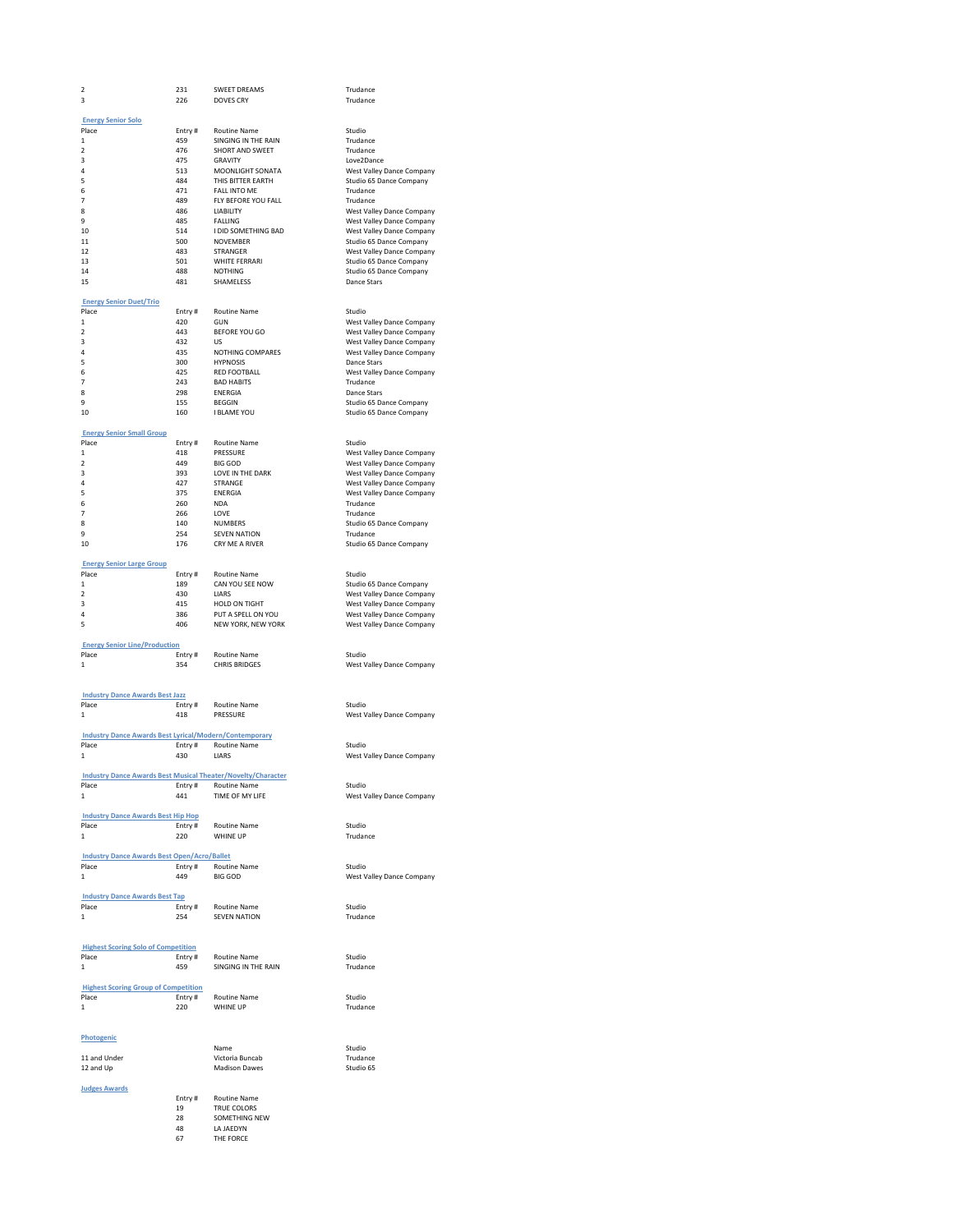| 2                                                                   | 231     | <b>SWEET DREAMS</b>                                              | Trudance                  |
|---------------------------------------------------------------------|---------|------------------------------------------------------------------|---------------------------|
| 3                                                                   | 226     | <b>DOVES CRY</b>                                                 | Trudance                  |
|                                                                     |         |                                                                  |                           |
| <b>Energy Senior Solo</b>                                           |         |                                                                  |                           |
| Place                                                               | Entry # | Routine Name                                                     | Studio                    |
| $\mathbf{1}$                                                        | 459     | SINGING IN THE RAIN                                              | Trudance                  |
| 2                                                                   | 476     | SHORT AND SWEET                                                  | Trudance                  |
| 3                                                                   | 475     | <b>GRAVITY</b>                                                   | Love2Dance                |
| 4                                                                   | 513     | MOONLIGHT SONATA                                                 | West Valley Dance Company |
| 5                                                                   | 484     | THIS BITTER EARTH                                                | Studio 65 Dance Company   |
| 6                                                                   | 471     | FALL INTO ME                                                     | Trudance                  |
| 7                                                                   | 489     | FLY BEFORE YOU FALL                                              | Trudance                  |
| 8                                                                   | 486     | LIABILITY                                                        | West Valley Dance Company |
| 9                                                                   | 485     | FALLING                                                          | West Valley Dance Company |
| 10                                                                  | 514     | I DID SOMETHING BAD                                              | West Valley Dance Company |
| 11                                                                  | 500     | NOVEMBER                                                         | Studio 65 Dance Company   |
| 12                                                                  | 483     | STRANGER                                                         | West Valley Dance Company |
| 13                                                                  | 501     | WHITE FERRARI                                                    | Studio 65 Dance Company   |
| 14                                                                  | 488     | <b>NOTHING</b>                                                   | Studio 65 Dance Company   |
| 15                                                                  | 481     | SHAMELESS                                                        | Dance Stars               |
|                                                                     |         |                                                                  |                           |
| <b>Energy Senior Duet/Trio</b>                                      |         |                                                                  |                           |
| Place                                                               | Entry # | Routine Name                                                     | Studio                    |
| $\mathbf{1}$                                                        | 420     | GUN                                                              | West Valley Dance Company |
| $\overline{\mathbf{2}}$                                             | 443     | <b>BEFORE YOU GO</b>                                             | West Valley Dance Company |
| 3                                                                   | 432     | <b>LIS</b>                                                       | West Valley Dance Company |
| 4                                                                   | 435     | NOTHING COMPARES                                                 | West Valley Dance Company |
| 5                                                                   | 300     | <b>HYPNOSIS</b>                                                  | Dance Stars               |
| 6                                                                   | 425     | <b>RED FOOTBALL</b>                                              | West Valley Dance Company |
| 7                                                                   | 243     | <b>BAD HABITS</b>                                                | Trudance                  |
| 8                                                                   | 298     | ENERGIA                                                          | Dance Stars               |
| 9                                                                   | 155     | <b>BEGGIN</b>                                                    | Studio 65 Dance Company   |
| 10                                                                  | 160     | I BLAME YOU                                                      | Studio 65 Dance Company   |
|                                                                     |         |                                                                  |                           |
| <b>Energy Senior Small Group</b>                                    |         |                                                                  |                           |
| Place                                                               | Entry # | Routine Name                                                     | Studio                    |
| $\mathbf{1}$                                                        | 418     | PRESSURE                                                         | West Valley Dance Company |
| $\overline{\mathbf{2}}$                                             | 449     | BIG GOD                                                          | West Valley Dance Company |
| з                                                                   | 393     | LOVE IN THE DARK                                                 | West Valley Dance Company |
| 4                                                                   | 427     | STRANGE                                                          | West Valley Dance Company |
| 5                                                                   | 375     | <b>ENERGIA</b>                                                   | West Valley Dance Company |
| 6                                                                   | 260     | <b>NDA</b>                                                       | Trudance                  |
| 7                                                                   | 266     | LOVE                                                             | Trudance                  |
| 8                                                                   | 140     | <b>NUMBERS</b>                                                   | Studio 65 Dance Company   |
| 9                                                                   | 254     | <b>SEVEN NATION</b>                                              | Trudance                  |
| 10                                                                  | 176     | CRY ME A RIVER                                                   | Studio 65 Dance Company   |
|                                                                     |         |                                                                  |                           |
| <b>Energy Senior Large Group</b>                                    |         |                                                                  |                           |
| Place                                                               | Entry # | Routine Name                                                     | Studio                    |
| $\,1$                                                               | 189     | CAN YOU SEE NOW                                                  | Studio 65 Dance Company   |
| $\overline{2}$                                                      | 430     | <b>LIARS</b>                                                     | West Valley Dance Company |
| з                                                                   | 415     | HOLD ON TIGHT                                                    | West Valley Dance Company |
| 4                                                                   | 386     | PUT A SPELL ON YOU                                               | West Valley Dance Company |
| 5                                                                   | 406     | NEW YORK, NEW YORK                                               | West Valley Dance Company |
|                                                                     |         |                                                                  |                           |
| <b>Energy Senior Line/Production</b>                                |         |                                                                  |                           |
| Place                                                               | Entry # | Routine Name                                                     | Studio                    |
| 1                                                                   | 354     | <b>CHRIS BRIDGES</b>                                             | West Valley Dance Company |
|                                                                     |         |                                                                  |                           |
|                                                                     |         |                                                                  |                           |
| <b>Industry Dance Awards Best Jazz</b>                              |         |                                                                  |                           |
| Place                                                               | Entry # | Routine Name                                                     | Studio                    |
| 1                                                                   | 418     | PRESSURE                                                         | West Valley Dance Company |
|                                                                     |         |                                                                  |                           |
| <b>Industry Dance Awards Best Lyrical/Modern/Contemporary</b>       |         |                                                                  |                           |
| Place                                                               |         | Entry # Routine Name                                             | Studio                    |
| 1                                                                   | 430     | LIARS                                                            | West Valley Dance Company |
|                                                                     |         |                                                                  |                           |
| <b>Industry Dance Awards Best Musical Theater/Novelty/Character</b> |         |                                                                  |                           |
| Place                                                               | Entry#  | Routine Name                                                     | Studio                    |
| $\mathbf{1}$                                                        | 441     | TIME OF MY LIFE                                                  | West Valley Dance Company |
|                                                                     |         |                                                                  |                           |
| <b>Industry Dance Awards Best Hip Hop</b>                           |         |                                                                  |                           |
| Place                                                               |         | Entry # Routine Name                                             | Studio                    |
| $\mathbf{1}$                                                        | 220     | WHINE UP                                                         | Trudance                  |
|                                                                     |         |                                                                  |                           |
| <b>Industry Dance Awards Best Open/Acro/Ballet</b>                  |         |                                                                  |                           |
| Place                                                               |         | Entry # Routine Name                                             | Studio                    |
| $\,1$                                                               | 449     | <b>BIG GOD</b>                                                   | West Valley Dance Company |
|                                                                     |         |                                                                  |                           |
| <b>Industry Dance Awards Best Tap</b>                               |         |                                                                  |                           |
| Place                                                               |         | Entry # Routine Name<br>Entry # Routine Name<br>254 SEVEN NATION | Studio                    |
| $\mathbf{1}$                                                        |         |                                                                  | Trudance                  |
|                                                                     |         |                                                                  |                           |
|                                                                     |         |                                                                  |                           |
| <b>Highest Scoring Solo of Competition</b>                          |         |                                                                  |                           |
| Place                                                               |         | Entry # Routine Name                                             | Studio                    |
| 1                                                                   | 459     | SINGING IN THE RAIN                                              | Trudance                  |
|                                                                     |         |                                                                  |                           |
| <b>Highest Scoring Group of Competition</b>                         |         |                                                                  |                           |
| Place                                                               |         | Entry # Routine Name                                             | Studio                    |
| 1                                                                   | 220     | WHINE UP                                                         | Trudance                  |
|                                                                     |         |                                                                  |                           |
|                                                                     |         |                                                                  |                           |
| Photogenic                                                          |         |                                                                  |                           |
|                                                                     |         | Name                                                             | Studio                    |
| 11 and Under                                                        |         | Victoria Buncab                                                  | Trudance                  |
| 12 and Up                                                           |         | <b>Madison Dawes</b>                                             | Studio 65                 |
|                                                                     |         |                                                                  |                           |
| <b>Judges Awards</b>                                                |         |                                                                  |                           |
|                                                                     | Entry#  | <b>Routine Name</b>                                              |                           |
|                                                                     | 19      | TRUE COLORS                                                      |                           |

19 TRUE COLORS 28 SOMETHING NEW 48 LA JAEDYN 67 THE FORCE

# Studio 65 Dance Company